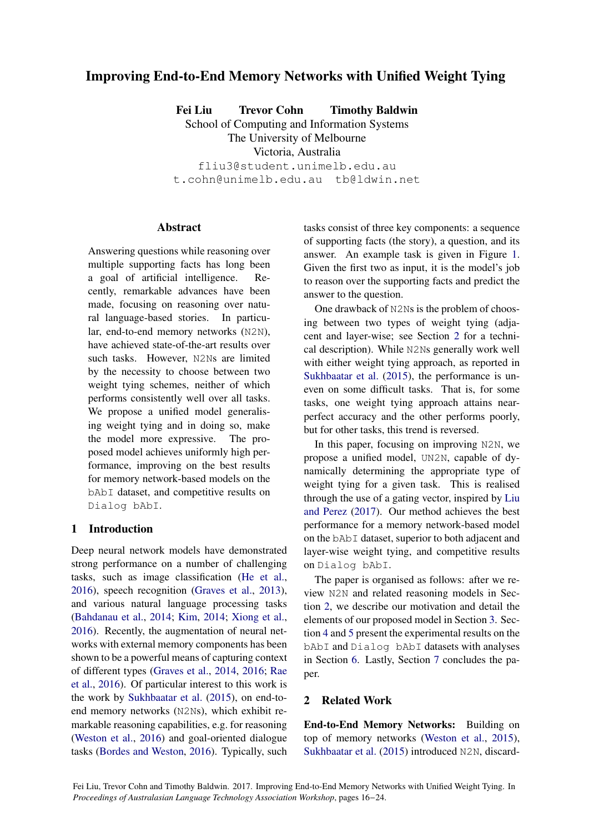# Improving End-to-End Memory Networks with Unified Weight Tying

Fei Liu Trevor Cohn Timothy Baldwin School of Computing and Information Systems The University of Melbourne

Victoria, Australia

fliu3@student.unimelb.edu.au t.cohn@unimelb.edu.au tb@ldwin.net

## **Abstract**

Answering questions while reasoning over multiple supporting facts has long been a goal of artificial intelligence. Recently, remarkable advances have been made, focusing on reasoning over natural language-based stories. In particular, end-to-end memory networks (N2N), have achieved state-of-the-art results over such tasks. However, N2Ns are limited by the necessity to choose between two weight tying schemes, neither of which performs consistently well over all tasks. We propose a unified model generalising weight tying and in doing so, make the model more expressive. The proposed model achieves uniformly high performance, improving on the best results for memory network-based models on the bAbI dataset, and competitive results on Dialog bAbI.

## 1 Introduction

Deep neural network models have demonstrated strong performance on a number of challenging tasks, such as image classification (He et al., 2016), speech recognition (Graves et al., 2013), and various natural language processing tasks (Bahdanau et al., 2014; Kim, 2014; Xiong et al., 2016). Recently, the augmentation of neural networks with external memory components has been shown to be a powerful means of capturing context of different types (Graves et al., 2014, 2016; Rae et al., 2016). Of particular interest to this work is the work by Sukhbaatar et al. (2015), on end-toend memory networks (N2Ns), which exhibit remarkable reasoning capabilities, e.g. for reasoning (Weston et al., 2016) and goal-oriented dialogue tasks (Bordes and Weston, 2016). Typically, such tasks consist of three key components: a sequence of supporting facts (the story), a question, and its answer. An example task is given in Figure 1. Given the first two as input, it is the model's job to reason over the supporting facts and predict the answer to the question.

One drawback of N2Ns is the problem of choosing between two types of weight tying (adjacent and layer-wise; see Section 2 for a technical description). While N2Ns generally work well with either weight tying approach, as reported in Sukhbaatar et al. (2015), the performance is uneven on some difficult tasks. That is, for some tasks, one weight tying approach attains nearperfect accuracy and the other performs poorly, but for other tasks, this trend is reversed.

In this paper, focusing on improving N2N, we propose a unified model, UN2N, capable of dynamically determining the appropriate type of weight tying for a given task. This is realised through the use of a gating vector, inspired by Liu and Perez (2017). Our method achieves the best performance for a memory network-based model on the bAbI dataset, superior to both adjacent and layer-wise weight tying, and competitive results on Dialog bAbI.

The paper is organised as follows: after we review N2N and related reasoning models in Section 2, we describe our motivation and detail the elements of our proposed model in Section 3. Section 4 and 5 present the experimental results on the bAbI and Dialog bAbI datasets with analyses in Section 6. Lastly, Section 7 concludes the paper.

## 2 Related Work

End-to-End Memory Networks: Building on top of memory networks (Weston et al., 2015), Sukhbaatar et al. (2015) introduced N2N, discard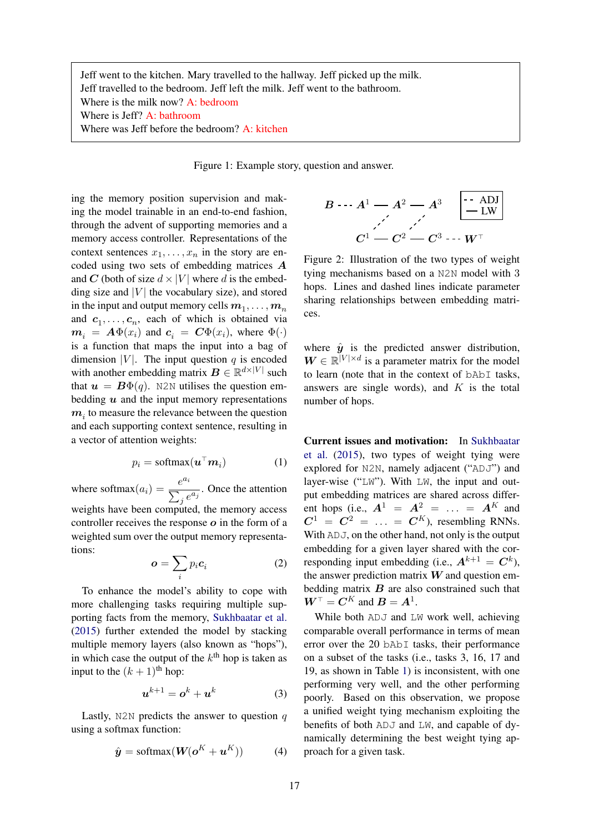Jeff went to the kitchen. Mary travelled to the hallway. Jeff picked up the milk. Jeff travelled to the bedroom. Jeff left the milk. Jeff went to the bathroom. Where is the milk now? A: bedroom Where is Jeff? A: bathroom Where was Jeff before the bedroom? A: kitchen

Figure 1: Example story, question and answer.

ing the memory position supervision and making the model trainable in an end-to-end fashion, through the advent of supporting memories and a memory access controller. Representations of the context sentences  $x_1, \ldots, x_n$  in the story are encoded using two sets of embedding matrices *A* and *C* (both of size  $d \times |V|$  where *d* is the embedding size and  $|V|$  the vocabulary size), and stored in the input and output memory cells  $m_1, \ldots, m_n$ and  $c_1, \ldots, c_n$ , each of which is obtained via  $m_i = A \Phi(x_i)$  and  $c_i = C \Phi(x_i)$ , where  $\Phi(\cdot)$ is a function that maps the input into a bag of dimension  $|V|$ . The input question *q* is encoded with another embedding matrix  $\mathbf{B} \in \mathbb{R}^{d \times |V|}$  such that  $u = B\Phi(q)$ . N2N utilises the question embedding *u* and the input memory representations *m<sup>i</sup>* to measure the relevance between the question and each supporting context sentence, resulting in a vector of attention weights:

$$
p_i = \text{softmax}(\boldsymbol{u}^\top \boldsymbol{m}_i) \tag{1}
$$

where softmax $(a_i) = \frac{e^{a_i}}{\sum_j e^{a_j}}$ . Once the attention weights have been computed, the memory access controller receives the response *o* in the form of a weighted sum over the output memory representations:

$$
\boldsymbol{o} = \sum_{i} p_i \boldsymbol{c}_i \tag{2}
$$

To enhance the model's ability to cope with more challenging tasks requiring multiple supporting facts from the memory, Sukhbaatar et al. (2015) further extended the model by stacking multiple memory layers (also known as "hops"), in which case the output of the  $k<sup>th</sup>$  hop is taken as input to the  $(k+1)$ <sup>th</sup> hop:

$$
\boldsymbol{u}^{k+1} = \boldsymbol{o}^k + \boldsymbol{u}^k \tag{3}
$$

Lastly, N2N predicts the answer to question *q* using a softmax function:

$$
\hat{\mathbf{y}} = \text{softmax}(\mathbf{W}(\mathbf{o}^K + \mathbf{u}^K))
$$
 (4)

$$
B \cdots A^{1} \longrightarrow A^{2} \longrightarrow A^{3} \qquad \begin{array}{|c|} \hline \cdots \text{ ADJ} \\ \hline \text{-LW} \end{array}
$$
\n
$$
C^{1} \longrightarrow C^{2} \longrightarrow C^{3} \cdots W^{\top}
$$

Figure 2: Illustration of the two types of weight tying mechanisms based on a N2N model with 3 hops. Lines and dashed lines indicate parameter sharing relationships between embedding matrices.

where  $\hat{y}$  is the predicted answer distribution,  $W \in \mathbb{R}^{|V| \times d}$  is a parameter matrix for the model to learn (note that in the context of bAbI tasks, answers are single words), and *K* is the total number of hops.

Current issues and motivation: In Sukhbaatar et al. (2015), two types of weight tying were explored for N2N, namely adjacent ("ADJ") and layer-wise ("LW"). With LW, the input and output embedding matrices are shared across different hops (i.e.,  $A^1 = A^2 = \ldots = A^K$  and  $C^1 = C^2 = \ldots = C^K$ , resembling RNNs. With  $ADJ$ , on the other hand, not only is the output embedding for a given layer shared with the corresponding input embedding (i.e.,  $A^{k+1} = C^k$ ), the answer prediction matrix *W* and question embedding matrix *B* are also constrained such that  $W^{\top} = C^{K}$  and  $B = A^{1}$ .

While both ADJ and LW work well, achieving comparable overall performance in terms of mean error over the 20 bAbI tasks, their performance on a subset of the tasks (i.e., tasks 3, 16, 17 and 19, as shown in Table 1) is inconsistent, with one performing very well, and the other performing poorly. Based on this observation, we propose a unified weight tying mechanism exploiting the benefits of both ADJ and LW, and capable of dynamically determining the best weight tying approach for a given task.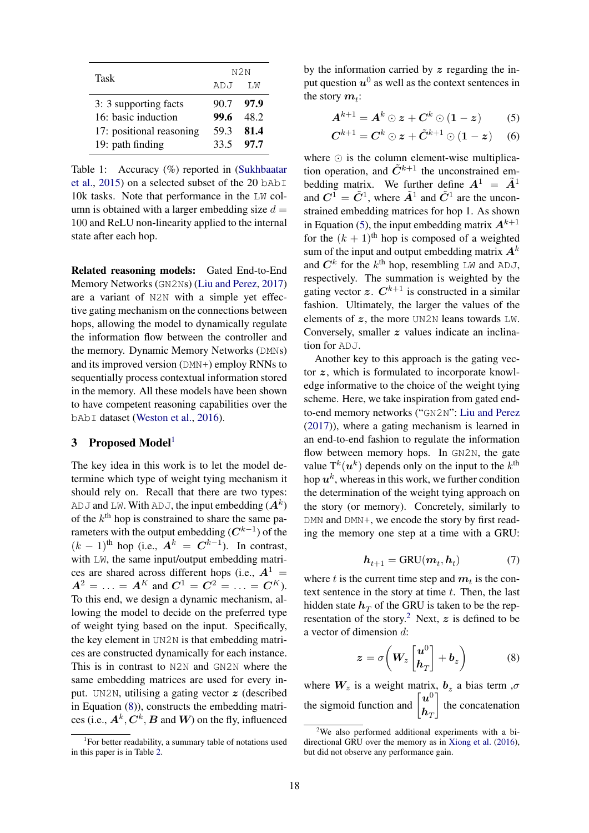| Task                     | N <sub>2N</sub> |       |  |  |
|--------------------------|-----------------|-------|--|--|
|                          | ADJ             | T.M   |  |  |
| 3: 3 supporting facts    | 90.7            | -97.9 |  |  |
| 16: basic induction      | 99.6            | 48.2  |  |  |
| 17: positional reasoning | 59.3            | 81.4  |  |  |
| 19: path finding         | 33.5            | 97.7  |  |  |

Table 1: Accuracy (%) reported in (Sukhbaatar et al., 2015) on a selected subset of the 20 bAbI 10k tasks. Note that performance in the LW column is obtained with a larger embedding size  $d =$ 100 and ReLU non-linearity applied to the internal state after each hop.

Related reasoning models: Gated End-to-End Memory Networks (GN2Ns) (Liu and Perez, 2017) are a variant of N2N with a simple yet effective gating mechanism on the connections between hops, allowing the model to dynamically regulate the information flow between the controller and the memory. Dynamic Memory Networks (DMNs) and its improved version (DMN+) employ RNNs to sequentially process contextual information stored in the memory. All these models have been shown to have competent reasoning capabilities over the bAbI dataset (Weston et al., 2016).

## 3 Proposed Model<sup>1</sup>

The key idea in this work is to let the model determine which type of weight tying mechanism it should rely on. Recall that there are two types: ADJ and LW. With ADJ, the input embedding  $(A^k)$ of the  $k^{\text{th}}$  hop is constrained to share the same parameters with the output embedding  $(C^{k-1})$  of the  $(k-1)$ <sup>th</sup> hop (i.e.,  $A^k = C^{k-1}$ ). In contrast, with LW, the same input/output embedding matrices are shared across different hops (i.e.,  $A^1$  =  $A^2 = \ldots = A^K$  and  $C^1 = C^2 = \ldots = C^K$ . To this end, we design a dynamic mechanism, allowing the model to decide on the preferred type of weight tying based on the input. Specifically, the key element in UN2N is that embedding matrices are constructed dynamically for each instance. This is in contrast to N2N and GN2N where the same embedding matrices are used for every input. UN2N, utilising a gating vector *z* (described in Equation (8)), constructs the embedding matrices (i.e.,  $A^k$ ,  $C^k$ ,  $B$  and  $W$ ) on the fly, influenced by the information carried by *z* regarding the input question  $u^0$  as well as the context sentences in the story  $m_t$ :

$$
\boldsymbol{A}^{k+1} = \boldsymbol{A}^k \odot \boldsymbol{z} + \boldsymbol{C}^k \odot (\boldsymbol{1} - \boldsymbol{z}) \tag{5}
$$

$$
\boldsymbol{C}^{k+1} = \boldsymbol{C}^k \odot \boldsymbol{z} + \tilde{\boldsymbol{C}}^{k+1} \odot (\boldsymbol{1} - \boldsymbol{z}) \qquad (6)
$$

where  $\odot$  is the column element-wise multiplication operation, and  $\tilde{C}^{k+1}$  the unconstrained embedding matrix. We further define  $A^1 = \tilde{A}^1$ and  $C^1 = \tilde{C}^1$ , where  $\tilde{A}^1$  and  $\tilde{C}^1$  are the unconstrained embedding matrices for hop 1. As shown in Equation (5), the input embedding matrix  $A^{k+1}$ for the  $(k + 1)$ <sup>th</sup> hop is composed of a weighted sum of the input and output embedding matrix  $A^k$ and  $C^k$  for the  $k^{\text{th}}$  hop, resembling LW and ADJ, respectively. The summation is weighted by the gating vector  $z$ .  $C^{k+1}$  is constructed in a similar fashion. Ultimately, the larger the values of the elements of *z*, the more UN2N leans towards LW. Conversely, smaller *z* values indicate an inclination for ADJ.

Another key to this approach is the gating vector *z*, which is formulated to incorporate knowledge informative to the choice of the weight tying scheme. Here, we take inspiration from gated endto-end memory networks ("GN2N": Liu and Perez (2017)), where a gating mechanism is learned in an end-to-end fashion to regulate the information flow between memory hops. In GN2N, the gate value  $T^k(u^k)$  depends only on the input to the  $k^{\text{th}}$ hop  $u^k$ , whereas in this work, we further condition the determination of the weight tying approach on the story (or memory). Concretely, similarly to DMN and DMN+, we encode the story by first reading the memory one step at a time with a GRU:

$$
h_{t+1} = \text{GRU}(m_t, h_t) \tag{7}
$$

where *t* is the current time step and  $m<sub>t</sub>$  is the context sentence in the story at time *t*. Then, the last hidden state  $h_T$  of the GRU is taken to be the representation of the story.<sup>2</sup> Next,  $z$  is defined to be a vector of dimension *d*:

$$
z = \sigma \left( W_z \begin{bmatrix} u^0 \\ h_T \end{bmatrix} + b_z \right) \tag{8}
$$

where  $W_z$  is a weight matrix,  $b_z$  a bias term , $\sigma$ the sigmoid function and  $\begin{bmatrix} u^0 \\ u^1 \end{bmatrix}$  $h_{\overline{I}}$  $\overline{1}$ the concatenation

<sup>&</sup>lt;sup>1</sup>For better readability, a summary table of notations used in this paper is in Table 2.

<sup>&</sup>lt;sup>2</sup>We also performed additional experiments with a bidirectional GRU over the memory as in Xiong et al. (2016), but did not observe any performance gain.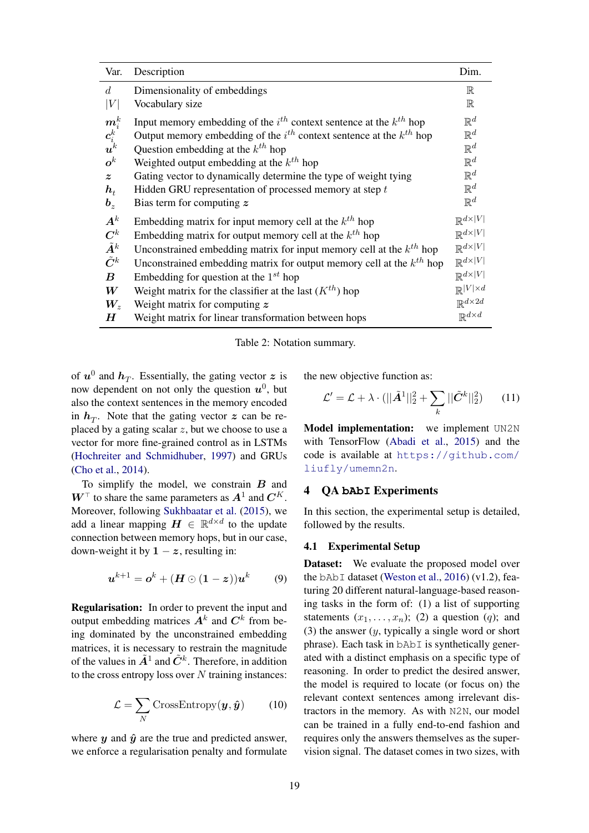| Var.                                                    | Description                                                                  | Dim.                        |
|---------------------------------------------------------|------------------------------------------------------------------------------|-----------------------------|
| d.                                                      | Dimensionality of embeddings                                                 | $\mathbb R$                 |
| V                                                       | Vocabulary size                                                              | $\mathbb R$                 |
| $\frac{\boldsymbol{m}_{i}^{k}}{\boldsymbol{c}_{i}^{k}}$ | Input memory embedding of the $i^{th}$ context sentence at the $k^{th}$ hop  | $\mathbb{R}^d$              |
|                                                         | Output memory embedding of the $i^{th}$ context sentence at the $k^{th}$ hop | $\mathbb{R}^d$              |
|                                                         | Question embedding at the $k^{th}$ hop                                       | $\mathbb{R}^d$              |
| $\bm{o}^k$                                              | Weighted output embedding at the $k^{th}$ hop                                | $\mathbb{R}^d$              |
| $\boldsymbol{z}$                                        | Gating vector to dynamically determine the type of weight tying              | $\mathbb{R}^d$              |
| $\bm{h}_t$                                              | Hidden GRU representation of processed memory at step $t$                    | $\mathbb{R}^d$              |
| $\bm{b}_z$                                              | Bias term for computing $z$                                                  | $\mathbb{R}^d$              |
| $A^k$                                                   | Embedding matrix for input memory cell at the $k^{th}$ hop                   | $\mathbb{R}^{d\times V }$   |
| $\boldsymbol{C}^k$                                      | Embedding matrix for output memory cell at the $k^{th}$ hop                  | $\mathbb{R}^{d \times  V }$ |
| $\tilde{\bm{A}}^k$                                      | Unconstrained embedding matrix for input memory cell at the $k^{th}$ hop     | $\mathbb{R}^{d \times  V }$ |
| $\tilde{C}^k$                                           | Unconstrained embedding matrix for output memory cell at the $k^{th}$ hop    | $\mathbb{R}^{d \times  V }$ |
| $\bm{B}$                                                | Embedding for question at the $1^{st}$ hop                                   | $\mathbb{R}^{d \times  V }$ |
| $\boldsymbol{W}$                                        | Weight matrix for the classifier at the last $(K^{th})$ hop                  | $\mathbb{R}^{ V  \times d}$ |
| $\boldsymbol{W_{z}}$                                    | Weight matrix for computing $z$                                              | $\mathbb{R}^{d \times 2d}$  |
| $\bm{H}$                                                | Weight matrix for linear transformation between hops                         | $\mathbb{R}^{d \times d}$   |

Table 2: Notation summary.

of  $u^0$  and  $h_T$ . Essentially, the gating vector z is now dependent on not only the question  $u^0$ , but also the context sentences in the memory encoded in  $h_T$ . Note that the gating vector  $z$  can be replaced by a gating scalar *z*, but we choose to use a vector for more fine-grained control as in LSTMs (Hochreiter and Schmidhuber, 1997) and GRUs (Cho et al., 2014).

To simplify the model, we constrain *B* and  $W^{\top}$  to share the same parameters as  $A^1$  and  $C^K$ . Moreover, following Sukhbaatar et al. (2015), we add a linear mapping  $H \in \mathbb{R}^{d \times d}$  to the update connection between memory hops, but in our case, down-weight it by  $1 - z$ , resulting in:

$$
\boldsymbol{u}^{k+1} = \boldsymbol{o}^k + (\boldsymbol{H} \odot (\boldsymbol{1} - \boldsymbol{z})) \boldsymbol{u}^k \qquad (9)
$$

Regularisation: In order to prevent the input and output embedding matrices  $A^k$  and  $C^k$  from being dominated by the unconstrained embedding matrices, it is necessary to restrain the magnitude of the values in  $\tilde{A}^1$  and  $\tilde{C}^k$ . Therefore, in addition to the cross entropy loss over *N* training instances:

$$
\mathcal{L} = \sum_{N} \text{CrossEntropy}(\boldsymbol{y}, \hat{\boldsymbol{y}}) \qquad (10)
$$

where  $y$  and  $\hat{y}$  are the true and predicted answer, we enforce a regularisation penalty and formulate the new objective function as:

$$
\mathcal{L}' = \mathcal{L} + \lambda \cdot (||\tilde{A}^1||_2^2 + \sum_k ||\tilde{C}^k||_2^2)
$$
 (11)

Model implementation: we implement UN2N with TensorFlow (Abadi et al., 2015) and the code is available at https://github.com/ liufly/umemn2n.

### 4 QA **bAbI** Experiments

In this section, the experimental setup is detailed, followed by the results.

#### 4.1 Experimental Setup

Dataset: We evaluate the proposed model over the bAbI dataset (Weston et al., 2016) (v1.2), featuring 20 different natural-language-based reasoning tasks in the form of: (1) a list of supporting statements  $(x_1, \ldots, x_n)$ ; (2) a question (*q*); and (3) the answer (*y*, typically a single word or short phrase). Each task in bAbI is synthetically generated with a distinct emphasis on a specific type of reasoning. In order to predict the desired answer, the model is required to locate (or focus on) the relevant context sentences among irrelevant distractors in the memory. As with N2N, our model can be trained in a fully end-to-end fashion and requires only the answers themselves as the supervision signal. The dataset comes in two sizes, with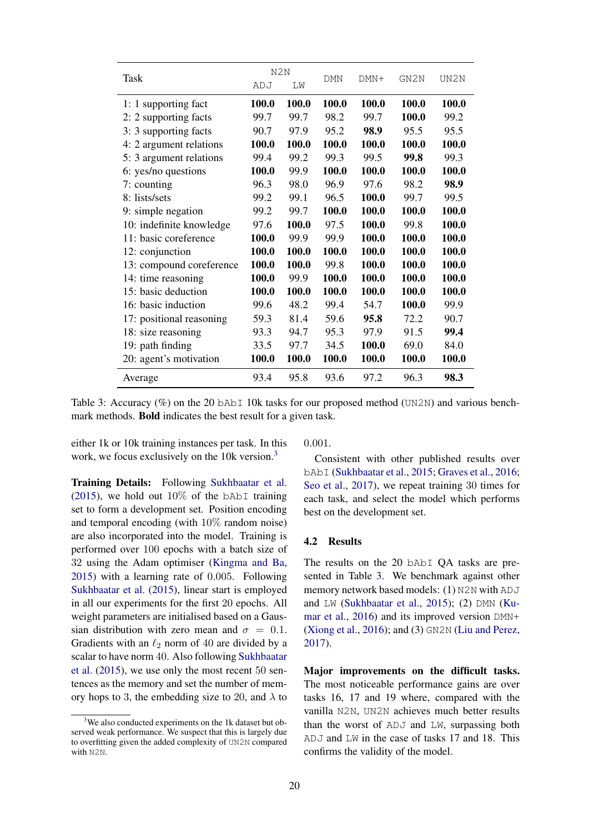|                          | N2N   |       |            |        |       |       |
|--------------------------|-------|-------|------------|--------|-------|-------|
| Task                     | ADJ   | LM    | <b>DMN</b> | $DMN+$ | GN2N  | UN2N  |
| 1: 1 supporting fact     | 100.0 | 100.0 | 100.0      | 100.0  | 100.0 | 100.0 |
| 2: 2 supporting facts    | 99.7  | 99.7  | 98.2       | 99.7   | 100.0 | 99.2  |
| 3: 3 supporting facts    | 90.7  | 97.9  | 95.2       | 98.9   | 95.5  | 95.5  |
| 4: 2 argument relations  | 100.0 | 100.0 | 100.0      | 100.0  | 100.0 | 100.0 |
| 5: 3 argument relations  | 99.4  | 99.2  | 99.3       | 99.5   | 99.8  | 99.3  |
| 6: yes/no questions      | 100.0 | 99.9  | 100.0      | 100.0  | 100.0 | 100.0 |
| 7: counting              | 96.3  | 98.0  | 96.9       | 97.6   | 98.2  | 98.9  |
| 8: lists/sets            | 99.2  | 99.1  | 96.5       | 100.0  | 99.7  | 99.5  |
| 9: simple negation       | 99.2  | 99.7  | 100.0      | 100.0  | 100.0 | 100.0 |
| 10: indefinite knowledge | 97.6  | 100.0 | 97.5       | 100.0  | 99.8  | 100.0 |
| 11: basic coreference    | 100.0 | 99.9  | 99.9       | 100.0  | 100.0 | 100.0 |
| 12: conjunction          | 100.0 | 100.0 | 100.0      | 100.0  | 100.0 | 100.0 |
| 13: compound coreference | 100.0 | 100.0 | 99.8       | 100.0  | 100.0 | 100.0 |
| 14: time reasoning       | 100.0 | 99.9  | 100.0      | 100.0  | 100.0 | 100.0 |
| 15: basic deduction      | 100.0 | 100.0 | 100.0      | 100.0  | 100.0 | 100.0 |
| 16: basic induction      | 99.6  | 48.2  | 99.4       | 54.7   | 100.0 | 99.9  |
| 17: positional reasoning | 59.3  | 81.4  | 59.6       | 95.8   | 72.2  | 90.7  |
| 18: size reasoning       | 93.3  | 94.7  | 95.3       | 97.9   | 91.5  | 99.4  |
| 19: path finding         | 33.5  | 97.7  | 34.5       | 100.0  | 69.0  | 84.0  |
| 20: agent's motivation   | 100.0 | 100.0 | 100.0      | 100.0  | 100.0 | 100.0 |
| Average                  | 93.4  | 95.8  | 93.6       | 97.2   | 96.3  | 98.3  |

Table 3: Accuracy (%) on the 20 bAb<sub>I</sub> 10k tasks for our proposed method (UN2N) and various benchmark methods. Bold indicates the best result for a given task.

either 1k or 10k training instances per task. In this work, we focus exclusively on the 10k version.<sup>3</sup>

Training Details: Following Sukhbaatar et al. (2015), we hold out  $10\%$  of the bAbI training set to form a development set. Position encoding and temporal encoding (with 10% random noise) are also incorporated into the model. Training is performed over 100 epochs with a batch size of 32 using the Adam optimiser (Kingma and Ba, 2015) with a learning rate of 0*.*005. Following Sukhbaatar et al. (2015), linear start is employed in all our experiments for the first 20 epochs. All weight parameters are initialised based on a Gaussian distribution with zero mean and  $\sigma = 0.1$ . Gradients with an  $\ell_2$  norm of 40 are divided by a scalar to have norm 40. Also following Sukhbaatar et al. (2015), we use only the most recent 50 sentences as the memory and set the number of memory hops to 3, the embedding size to 20, and  $\lambda$  to 0*.*001.

Consistent with other published results over bAbI (Sukhbaatar et al., 2015; Graves et al., 2016; Seo et al., 2017), we repeat training 30 times for each task, and select the model which performs best on the development set.

## 4.2 Results

The results on the 20 bAbI QA tasks are presented in Table 3. We benchmark against other memory network based models: (1) N2N with ADJ and LW (Sukhbaatar et al., 2015); (2) DMN (Kumar et al., 2016) and its improved version DMN+ (Xiong et al., 2016); and (3) GN2N (Liu and Perez, 2017).

Major improvements on the difficult tasks. The most noticeable performance gains are over tasks 16, 17 and 19 where, compared with the vanilla N2N, UN2N achieves much better results than the worst of ADJ and LW, surpassing both ADJ and LW in the case of tasks 17 and 18. This confirms the validity of the model.

<sup>&</sup>lt;sup>3</sup>We also conducted experiments on the 1k dataset but observed weak performance. We suspect that this is largely due to overfitting given the added complexity of UN2N compared with N2N.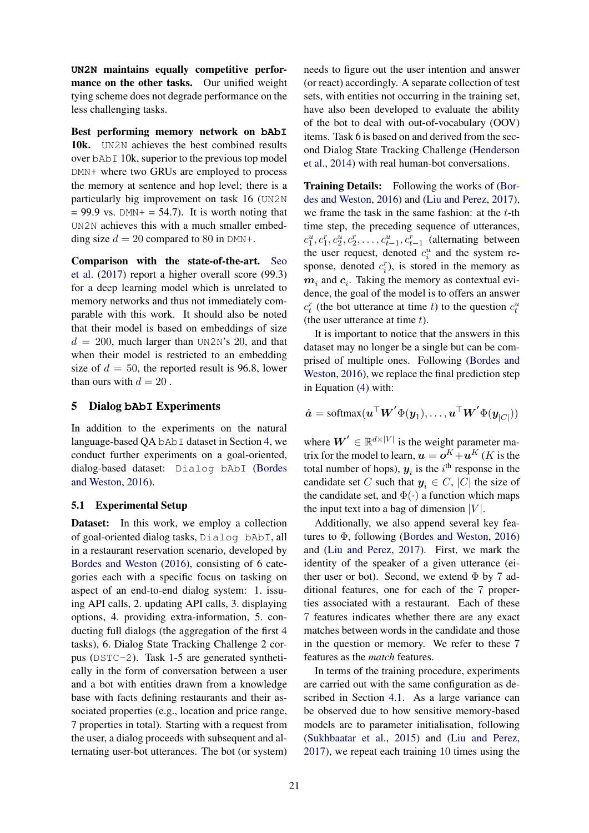**UN2N** maintains equally competitive performance on the other tasks. Our unified weight tying scheme does not degrade performance on the less challenging tasks.

Best performing memory network on **bAbI** 10k. UN2N achieves the best combined results over bAbI 10k, superior to the previous top model DMN+ where two GRUs are employed to process the memory at sentence and hop level; there is a particularly big improvement on task 16 (UN2N  $= 99.9$  vs. DMN+ = 54.7). It is worth noting that UN2N achieves this with a much smaller embedding size  $d = 20$  compared to 80 in DMN+.

Comparison with the state-of-the-art. Seo et al. (2017) report a higher overall score (99.3) for a deep learning model which is unrelated to memory networks and thus not immediately comparable with this work. It should also be noted that their model is based on embeddings of size  $d = 200$ , much larger than UN2N's 20, and that when their model is restricted to an embedding size of  $d = 50$ , the reported result is 96.8, lower than ours with  $d = 20$ .

## 5 Dialog **bAbI** Experiments

In addition to the experiments on the natural language-based QA bAbI dataset in Section 4, we conduct further experiments on a goal-oriented, dialog-based dataset: Dialog bAbI (Bordes and Weston, 2016).

### 5.1 Experimental Setup

Dataset: In this work, we employ a collection of goal-oriented dialog tasks, Dialog bAbI, all in a restaurant reservation scenario, developed by Bordes and Weston (2016), consisting of 6 categories each with a specific focus on tasking on aspect of an end-to-end dialog system: 1. issuing API calls, 2. updating API calls, 3. displaying options, 4. providing extra-information, 5. conducting full dialogs (the aggregation of the first 4 tasks), 6. Dialog State Tracking Challenge 2 corpus (DSTC-2). Task 1-5 are generated synthetically in the form of conversation between a user and a bot with entities drawn from a knowledge base with facts defining restaurants and their associated properties (e.g., location and price range, 7 properties in total). Starting with a request from the user, a dialog proceeds with subsequent and alternating user-bot utterances. The bot (or system)

needs to figure out the user intention and answer (or react) accordingly. A separate collection of test sets, with entities not occurring in the training set, have also been developed to evaluate the ability of the bot to deal with out-of-vocabulary (OOV) items. Task 6 is based on and derived from the second Dialog State Tracking Challenge (Henderson et al., 2014) with real human-bot conversations.

Training Details: Following the works of (Bordes and Weston, 2016) and (Liu and Perez, 2017), we frame the task in the same fashion: at the *t*-th time step, the preceding sequence of utterances,  $c_1^u, c_1^r, c_2^u, c_2^r, \ldots, c_{t-1}^u, c_{t-1}^r$  (alternating between the user request, denoted  $c_i^u$  and the system response, denoted  $c_i^r$ ), is stored in the memory as  $m_i$  and  $c_i$ . Taking the memory as contextual evidence, the goal of the model is to offers an answer  $c_t^r$  (the bot utterance at time *t*) to the question  $c_t^u$ (the user utterance at time *t*).

It is important to notice that the answers in this dataset may no longer be a single but can be comprised of multiple ones. Following (Bordes and Weston, 2016), we replace the final prediction step in Equation (4) with:

$$
\hat{\boldsymbol{a}} = \text{softmax}(\boldsymbol{u}^\top \boldsymbol{W}' \boldsymbol{\Phi}(\boldsymbol{y}_1), \dots, \boldsymbol{u}^\top \boldsymbol{W}' \boldsymbol{\Phi}(\boldsymbol{y}_{|C|}))
$$

where  $W' \in \mathbb{R}^{d \times |V|}$  is the weight parameter matrix for the model to learn,  $\mathbf{u} = \mathbf{o}^K + \mathbf{u}^K$  (*K* is the total number of hops),  $y_i$  is the  $i^{\text{th}}$  response in the candidate set *C* such that  $y_i \in C$ , |*C*| the size of the candidate set, and  $\Phi(\cdot)$  a function which maps the input text into a bag of dimension  $|V|$ .

Additionally, we also append several key features to  $\Phi$ , following (Bordes and Weston, 2016) and (Liu and Perez, 2017). First, we mark the identity of the speaker of a given utterance (either user or bot). Second, we extend  $\Phi$  by 7 additional features, one for each of the 7 properties associated with a restaurant. Each of these 7 features indicates whether there are any exact matches between words in the candidate and those in the question or memory. We refer to these 7 features as the *match* features.

In terms of the training procedure, experiments are carried out with the same configuration as described in Section 4.1. As a large variance can be observed due to how sensitive memory-based models are to parameter initialisation, following (Sukhbaatar et al., 2015) and (Liu and Perez, 2017), we repeat each training 10 times using the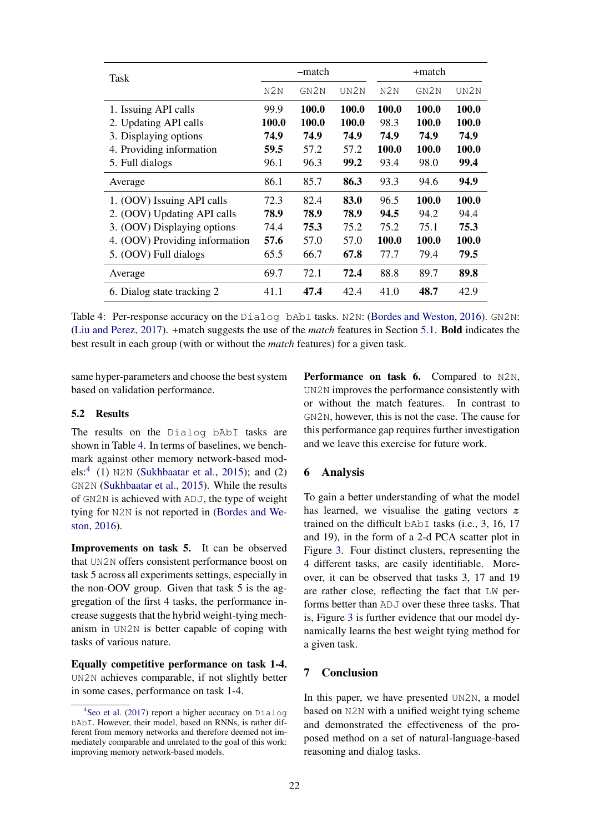| Task                                           | -match               |                |                | +match               |                       |                |
|------------------------------------------------|----------------------|----------------|----------------|----------------------|-----------------------|----------------|
|                                                | N2N                  | GN2N           | UN2N           | N2N                  | GN2N                  | UN2N           |
| 1. Issuing API calls                           | 99.9<br><b>100.0</b> | 100.0<br>100.0 | 100.0<br>100.0 | 100.0<br>98.3        | 100.0<br><b>100.0</b> | 100.0<br>100.0 |
| 2. Updating API calls<br>3. Displaying options | 74.9                 | 74.9           | 74.9           | 74.9                 | 74.9                  | 74.9           |
| 4. Providing information<br>5. Full dialogs    | 59.5<br>96.1         | 57.2<br>96.3   | 57.2<br>99.2   | <b>100.0</b><br>93.4 | 100.0<br>98.0         | 100.0<br>99.4  |
| Average                                        | 86.1                 | 85.7           | 86.3           | 93.3                 | 94.6                  | 94.9           |
| 1. (OOV) Issuing API calls                     | 72.3                 | 82.4           | 83.0           | 96.5                 | 100.0                 | 100.0          |
| 2. (OOV) Updating API calls                    | 78.9                 | 78.9           | 78.9           | 94.5                 | 94.2                  | 94.4           |
| 3. (OOV) Displaying options                    | 74.4                 | 75.3           | 75.2           | 75.2                 | 75.1                  | 75.3           |
| 4. (OOV) Providing information                 | 57.6                 | 57.0           | 57.0           | 100.0                | 100.0                 | 100.0          |
| 5. (OOV) Full dialogs                          | 65.5                 | 66.7           | 67.8           | 77.7                 | 79.4                  | 79.5           |
| Average                                        | 69.7                 | 72.1           | 72.4           | 88.8                 | 89.7                  | 89.8           |
| 6. Dialog state tracking 2                     | 41.1                 | 47.4           | 42.4           | 41.0                 | 48.7                  | 42.9           |

Table 4: Per-response accuracy on the Dialog bAbI tasks. N2N: (Bordes and Weston, 2016). GN2N: (Liu and Perez, 2017). +match suggests the use of the *match* features in Section 5.1. Bold indicates the best result in each group (with or without the *match* features) for a given task.

same hyper-parameters and choose the best system based on validation performance.

#### 5.2 Results

The results on the Dialog bAbI tasks are shown in Table 4. In terms of baselines, we benchmark against other memory network-based models:<sup>4</sup> (1) N2N (Sukhbaatar et al., 2015); and (2) GN2N (Sukhbaatar et al., 2015). While the results of GN2N is achieved with ADJ, the type of weight tying for N2N is not reported in (Bordes and Weston, 2016).

Improvements on task 5. It can be observed that UN2N offers consistent performance boost on task 5 across all experiments settings, especially in the non-OOV group. Given that task 5 is the aggregation of the first 4 tasks, the performance increase suggests that the hybrid weight-tying mechanism in UN2N is better capable of coping with tasks of various nature.

Equally competitive performance on task 1-4. UN2N achieves comparable, if not slightly better in some cases, performance on task 1-4.

Performance on task 6. Compared to N2N, UN2N improves the performance consistently with or without the match features. In contrast to GN2N, however, this is not the case. The cause for this performance gap requires further investigation and we leave this exercise for future work.

## 6 Analysis

To gain a better understanding of what the model has learned, we visualise the gating vectors *z* trained on the difficult bAbI tasks (i.e., 3, 16, 17 and 19), in the form of a 2-d PCA scatter plot in Figure 3. Four distinct clusters, representing the 4 different tasks, are easily identifiable. Moreover, it can be observed that tasks 3, 17 and 19 are rather close, reflecting the fact that LW performs better than ADJ over these three tasks. That is, Figure 3 is further evidence that our model dynamically learns the best weight tying method for a given task.

## 7 Conclusion

In this paper, we have presented UN2N, a model based on N2N with a unified weight tying scheme and demonstrated the effectiveness of the proposed method on a set of natural-language-based reasoning and dialog tasks.

<sup>4</sup> Seo et al. (2017) report a higher accuracy on Dialog bAbI. However, their model, based on RNNs, is rather different from memory networks and therefore deemed not immediately comparable and unrelated to the goal of this work: improving memory network-based models.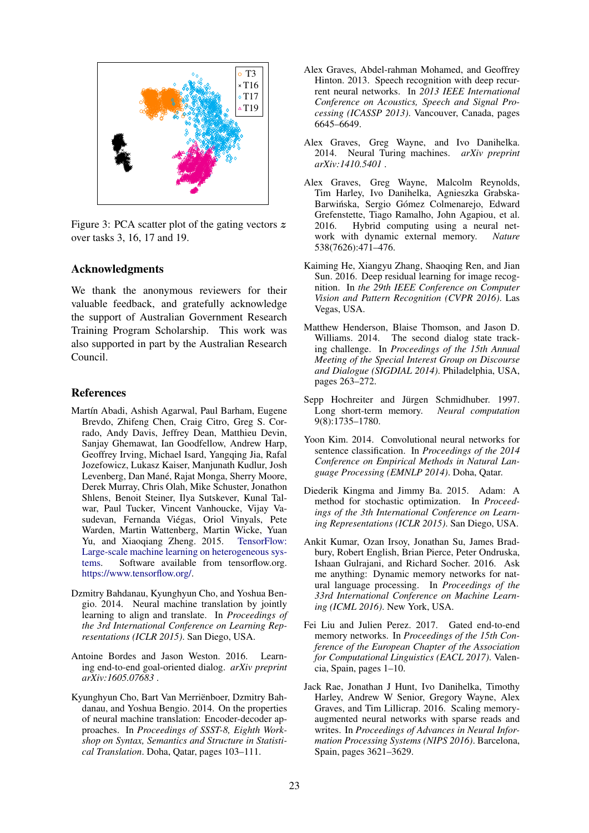

Figure 3: PCA scatter plot of the gating vectors *z* over tasks 3, 16, 17 and 19.

## Acknowledgments

We thank the anonymous reviewers for their valuable feedback, and gratefully acknowledge the support of Australian Government Research Training Program Scholarship. This work was also supported in part by the Australian Research Council.

### References

- Martín Abadi, Ashish Agarwal, Paul Barham, Eugene Brevdo, Zhifeng Chen, Craig Citro, Greg S. Corrado, Andy Davis, Jeffrey Dean, Matthieu Devin, Sanjay Ghemawat, Ian Goodfellow, Andrew Harp, Geoffrey Irving, Michael Isard, Yangqing Jia, Rafal Jozefowicz, Lukasz Kaiser, Manjunath Kudlur, Josh Levenberg, Dan Mané, Rajat Monga, Sherry Moore, Derek Murray, Chris Olah, Mike Schuster, Jonathon Shlens, Benoit Steiner, Ilya Sutskever, Kunal Talwar, Paul Tucker, Vincent Vanhoucke, Vijay Vasudevan, Fernanda Viegas, Oriol Vinyals, Pete ´ Warden, Martin Wattenberg, Martin Wicke, Yuan Yu, and Xiaoqiang Zheng. 2015. TensorFlow: Large-scale machine learning on heterogeneous systems. Software available from tensorflow.org. https://www.tensorflow.org/.
- Dzmitry Bahdanau, Kyunghyun Cho, and Yoshua Bengio. 2014. Neural machine translation by jointly learning to align and translate. In *Proceedings of the 3rd International Conference on Learning Representations (ICLR 2015)*. San Diego, USA.
- Antoine Bordes and Jason Weston. 2016. Learning end-to-end goal-oriented dialog. *arXiv preprint arXiv:1605.07683* .
- Kyunghyun Cho, Bart Van Merrienboer, Dzmitry Bah- ¨ danau, and Yoshua Bengio. 2014. On the properties of neural machine translation: Encoder-decoder approaches. In *Proceedings of SSST-8, Eighth Workshop on Syntax, Semantics and Structure in Statistical Translation*. Doha, Qatar, pages 103–111.
- Alex Graves, Abdel-rahman Mohamed, and Geoffrey Hinton. 2013. Speech recognition with deep recurrent neural networks. In *2013 IEEE International Conference on Acoustics, Speech and Signal Processing (ICASSP 2013)*. Vancouver, Canada, pages 6645–6649.
- Alex Graves, Greg Wayne, and Ivo Danihelka. 2014. Neural Turing machines. *arXiv preprint arXiv:1410.5401* .
- Alex Graves, Greg Wayne, Malcolm Reynolds, Tim Harley, Ivo Danihelka, Agnieszka Grabska-Barwińska, Sergio Gómez Colmenarejo, Edward Grefenstette, Tiago Ramalho, John Agapiou, et al.<br>2016. Hybrid computing using a neural net-Hybrid computing using a neural network with dynamic external memory. *Nature* 538(7626):471–476.
- Kaiming He, Xiangyu Zhang, Shaoqing Ren, and Jian Sun. 2016. Deep residual learning for image recognition. In *the 29th IEEE Conference on Computer Vision and Pattern Recognition (CVPR 2016)*. Las Vegas, USA.
- Matthew Henderson, Blaise Thomson, and Jason D. Williams. 2014. The second dialog state tracking challenge. In *Proceedings of the 15th Annual Meeting of the Special Interest Group on Discourse and Dialogue (SIGDIAL 2014)*. Philadelphia, USA, pages 263–272.
- Sepp Hochreiter and Jürgen Schmidhuber. 1997. Long short-term memory. *Neural computation* 9(8):1735–1780.
- Yoon Kim. 2014. Convolutional neural networks for sentence classification. In *Proceedings of the 2014 Conference on Empirical Methods in Natural Language Processing (EMNLP 2014)*. Doha, Qatar.
- Diederik Kingma and Jimmy Ba. 2015. Adam: A method for stochastic optimization. In *Proceedings of the 3th International Conference on Learning Representations (ICLR 2015)*. San Diego, USA.
- Ankit Kumar, Ozan Irsoy, Jonathan Su, James Bradbury, Robert English, Brian Pierce, Peter Ondruska, Ishaan Gulrajani, and Richard Socher. 2016. Ask me anything: Dynamic memory networks for natural language processing. In *Proceedings of the 33rd International Conference on Machine Learning (ICML 2016)*. New York, USA.
- Fei Liu and Julien Perez. 2017. Gated end-to-end memory networks. In *Proceedings of the 15th Conference of the European Chapter of the Association for Computational Linguistics (EACL 2017)*. Valencia, Spain, pages 1–10.
- Jack Rae, Jonathan J Hunt, Ivo Danihelka, Timothy Harley, Andrew W Senior, Gregory Wayne, Alex Graves, and Tim Lillicrap. 2016. Scaling memoryaugmented neural networks with sparse reads and writes. In *Proceedings of Advances in Neural Information Processing Systems (NIPS 2016)*. Barcelona, Spain, pages 3621–3629.